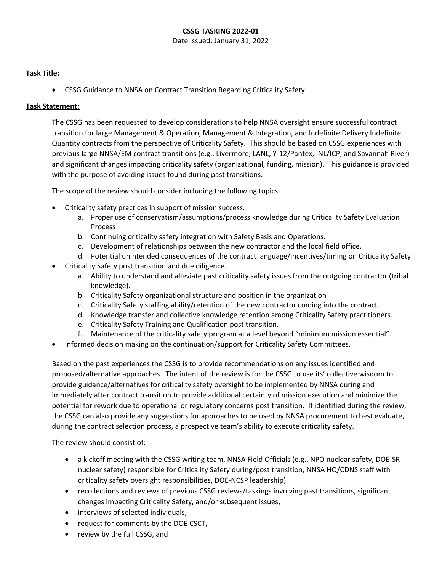## **CSSG TASKING 2022-01**

Date Issued: January 31, 2022

## **Task Title:**

• CSSG Guidance to NNSA on Contract Transition Regarding Criticality Safety

# **Task Statement:**

The CSSG has been requested to develop considerations to help NNSA oversight ensure successful contract transition for large Management & Operation, Management & Integration, and Indefinite Delivery Indefinite Quantity contracts from the perspective of Criticality Safety. This should be based on CSSG experiences with previous large NNSA/EM contract transitions (e.g., Livermore, LANL, Y-12/Pantex, INL/ICP, and Savannah River) and significant changes impacting criticality safety (organizational, funding, mission). This guidance is provided with the purpose of avoiding issues found during past transitions.

The scope of the review should consider including the following topics:

- Criticality safety practices in support of mission success.
	- a. Proper use of conservatism/assumptions/process knowledge during Criticality Safety Evaluation Process
	- b. Continuing criticality safety integration with Safety Basis and Operations.
	- c. Development of relationships between the new contractor and the local field office.
	- d. Potential unintended consequences of the contract language/incentives/timing on Criticality Safety
- Criticality Safety post transition and due diligence.
	- a. Ability to understand and alleviate past criticality safety issues from the outgoing contractor (tribal knowledge).
	- b. Criticality Safety organizational structure and position in the organization
	- c. Criticality Safety staffing ability/retention of the new contractor coming into the contract.
	- d. Knowledge transfer and collective knowledge retention among Criticality Safety practitioners.
	- e. Criticality Safety Training and Qualification post transition.
	- f. Maintenance of the criticality safety program at a level beyond "minimum mission essential".
- Informed decision making on the continuation/support for Criticality Safety Committees.

Based on the past experiences the CSSG is to provide recommendations on any issues identified and proposed/alternative approaches. The intent of the review is for the CSSG to use its' collective wisdom to provide guidance/alternatives for criticality safety oversight to be implemented by NNSA during and immediately after contract transition to provide additional certainty of mission execution and minimize the potential for rework due to operational or regulatory concerns post transition. If identified during the review, the CSSG can also provide any suggestions for approaches to be used by NNSA procurement to best evaluate, during the contract selection process, a prospective team's ability to execute criticality safety.

The review should consist of:

- a kickoff meeting with the CSSG writing team, NNSA Field Officials (e.g., NPO nuclear safety, DOE-SR nuclear safety) responsible for Criticality Safety during/post transition, NNSA HQ/CDNS staff with criticality safety oversight responsibilities, DOE-NCSP leadership)
- recollections and reviews of previous CSSG reviews/taskings involving past transitions, significant changes impacting Criticality Safety, and/or subsequent issues,
- interviews of selected individuals,
- request for comments by the DOE CSCT,
- review by the full CSSG, and